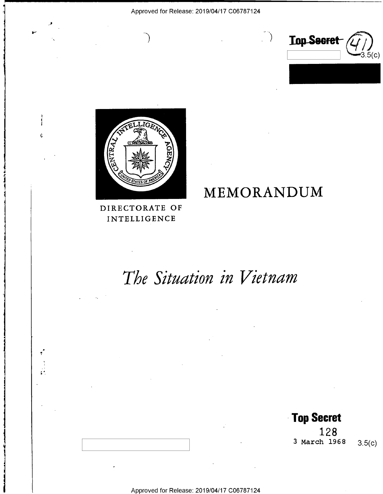



 $\overline{)}$ 

4

i

1

H

Ý.

1

L

## DIRECTORATE OF INTELLIGENCE

## MEMORANDUM

# The Situation in Vietnam

Approved for Release: 2019/04/17 C06787124

- Top Secret 1 2 8 3 March  $1968$  3.5(c)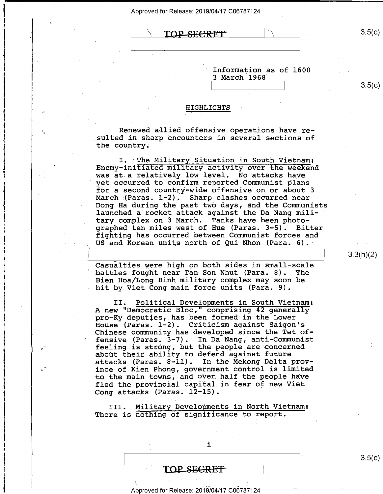TOP-SECRET

.

,, . I \

-'\_

|\_-

i

.

' Information as of 1600 3 March 1968

 $\rightarrow$ 

#### HIGHLIGHTS

Renewed allied offensive operations have resulted in sharp encounters in several sections of the country.

I. The Military Situation in South Vietnam:<br>Enemy-initiated military activity over the weekend<br>was at a relatively low level. No attacks have yet occurred to confirm reported Communist plans for a second country-wide offensive on or about 3 March (Paras.  $1-2$ ). Sharp clashes occurred near-Dong Ha during the past two days, and the Communists launched a rocket attack against the Da Nang military complex on 3 March. Tanks have been photographed ten miles west of Hue (Paras. 3-5). Bitter fighting has occurred between Communist forces and US and Korean units north of Qui Nhon (Para. 6).

Casualties were high on both sides in small-scale battles fought near Tan Son Nhut (Para. 8). The Bien Hoa/Long Binh military complex may soon be hit by Viet Cong main force units (Para. 9).

II. Political Developments in South Vietnam:<br>A new "Democratic Bloc," comprising 42 generally<br>pro-Ky deputies, has been formed in the Lower House (Paras. 1-2). Criticism against Saigon's Chinese community has developed since the Tet of- ' fensive (Paras, 3-7). In Da Nang, anti-Communist feeling is strong, but the people are concerned about their ability to defend.against future attacks (Paras. 8-11). In the Mekong Délta province of Kien Phong, government control is limited to the main towns, and over half the people have fled the provincial capital in fear of new Viet Cong attacks (Paras. 12-15).

III. Military Developments in North Vietnam: There is nothing of significance to report.

j

## TOP\_SE<del>GRET</del>

#### Approved for Release: 2019/04/17 C06787124

3.3(h)(2)

 $3.5(c)$ 

 $3.5(c)$ 

3.5(C)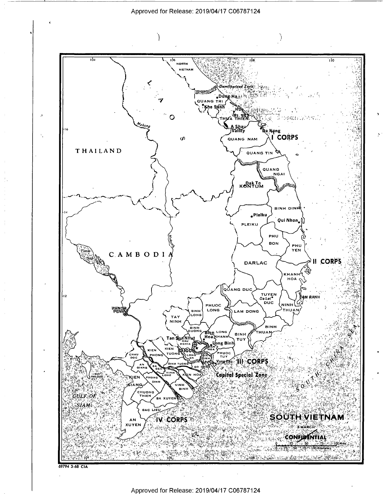

69794 3-68 CIA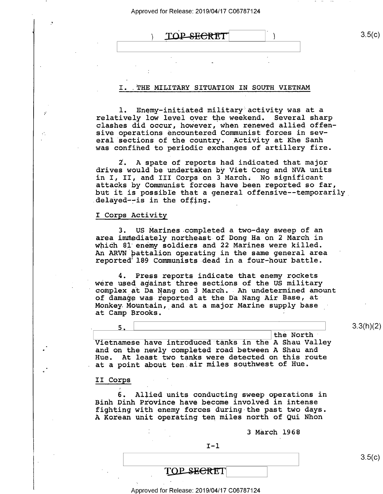## $\text{TOP} \longrightarrow$   $3.5(c)$

#### I. .THE MILITARY SITUATION IN SOUTH VIETNAM

1. Enemy-initiated military activity was at a relatively low level over the weekend. Several sharp clashes did occur, however, when renewed allied offensive operations encountered Communist forces in several sections of the country. Activity at Khe Sanh was confined to periodic exchanges of artillery fire.

2. A spate of reports had indicated that major drives would be undertaken by Viet Cong and NVA units in I, II, and III Corps on 3 March. No significant attacks by Communist forces have been reported so far, but it is possible that a general offensive--temporarily delayed--is in the offing.

#### I Corps Activity

 $\mathbf{y}$ 

 $\mathcal{L}^{\bullet}$ 

3. US Marines completed a two—day sweep of an area immediately northeast of Dong Ha on 2 March in which 81 enemy soldiers and 22 Marines were killed. An ARVN battalion operating in the same general area ' reported'l89 Communists-dead in a four—hour battle.

4. Press reports indicate that enemy rockets were used against three sections of the US military complex at Da Nang on 3 March. An undetermined amount of damage was reported at the Da Nang Air Base, at-Monkey. Mountain, and at a major Marine supply base at Camp Brooks.

 $\qquad \qquad$  the North Vietnamese have introduced tanks in the A Shau Valley and on the newly completed road between A Shau and Hue. At least two tanks were detected on this route at a point about ten air miles southwest of Hue.

5.\ \

#### II Corps '

6. Allied units conducting sweep operations in Binh Dinh Province have become involved in intense<br>fighting with enemy forces during the past two days. A Korean unit operating ten miles north of Qui Nhon

3 March 1968

 $I - 1$ 

3.3(h)(2)

 $3.5(c)$ 

TOP SECRET

Approved for Release: 2019/04/17 C06787124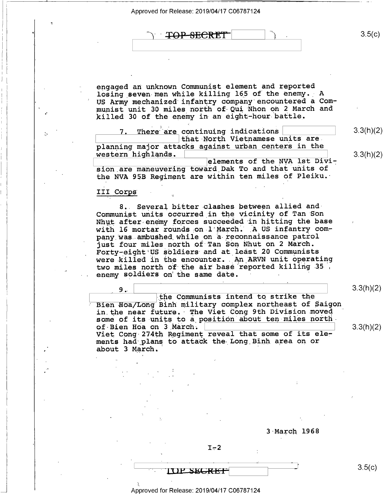| Approved for Release: 2019/04/17 C06787124 |  |  |
|--------------------------------------------|--|--|
|--------------------------------------------|--|--|

<del>TOP SECRET</del>

engaged an unknown Communist element and reported losing seven men while killing 165 of the enemy. A US Army mechanized infantry company encountered a Communist unit 30 miles north of-Qui Nhon on 2 March and killed 30 of the enemy in an eight—hour battle.

7. There are continuing indications 3.3(h)(2) that North Vietnamese units are. planning major attacks against urban centers in the western highlands. elements of the NVA lst Divi-  $3.3(h)(2)$  $\vert$  elements of the NVA lst Divi-<br>class any procuration toward Dak Me and that units of

sion\_are maneuvering toward Dak To and that units of the NVA 95B Regiment are within ten miles of Pleiku.

1

#### III Corps

8. Several bitter clashes between allied and-Communist units occurred in the vicinity of Tan Son Nhut after enemy forces succeeded in hitting the base with 16 mortar rounds on l'March. A US infantry company was ambushed while on a-reconnaissance patrol just four miles north of Tan Son Nhut on 2 March. Forty-eight US soldiers and at least 20 Communists were killed in the encounter. An ARVN unit operating two miles north of the air base reported killing-35 enemy soldiers on'the same date.

5 9 ,. \ the Communists intend to strike the Bien Hoa/Long Binh military complex northeast of Saigon in the near future. The Viet Cong 9th Division moved some of its units to a position about ten miles north-<br>of Bien Hoa on 3 March. of-Bien Hoa on 3 March.  $\vert$  3.3(h)(2) Viet Cong-274th Regiment reveal that some of its eler ments had plans to attack the Long Binh area on or about 3 March.'

 $3.3(h)(2)$ 

 $3.5(c)$ 

 $3.5(c)$ 

3~March l968

 $I-2$ 

**IUL SEGRET**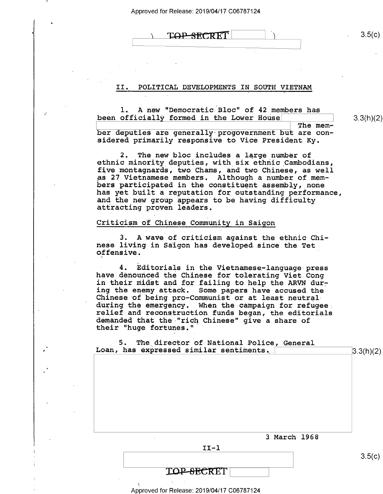LOP-SECRET

#### II. POLITICAL DEVELOPMENTS IN SOUTH VIETNAM

1. A new "Democratic Bloc" of 42 members has been officially formed in the Lower House

3.3(h)(2)

\ The member deputies are generally-progovernment but are considered primarily responsive to Vice President Ky.

2. The new bloc includes a large number of ethnic minority deputies, with six ethnic Cambodians, five montagnards, two Chams, and two Chinese, as well as 27 Vietnamese members. Although a number of members participated in the constituent assembly, none<br>has yet built a reputation for outstanding performance, and the new group appears to be having difficulty attracting proven leaders.

#### Criticism of Chinese Community in Saigon

\_ 3. A wave of criticism against the ethnic Chinese living in Saigon has developed since the Tet offensive. '

4. Editorials in the Vietnamese-language press have denounced the Chinese for tolerating Viet Cong in their midst and for failing to help the ARVN dur-<br>ing the enemy attack. Some papers have accused the<br>Chinese of being pro-Communist or at least neutral<br>during the emergency. When the campaign for refugee relief and reconstruction funds began, the editorials demanded that the "rich Chinese" give a share of their "huge fortunes."

| 5. The director of National Police, General<br>Loan, has expressed similar sentiments. |           |
|----------------------------------------------------------------------------------------|-----------|
|                                                                                        | 3.3(h)(2) |
|                                                                                        |           |
|                                                                                        |           |
|                                                                                        |           |
|                                                                                        |           |
|                                                                                        |           |
|                                                                                        |           |
|                                                                                        |           |
|                                                                                        |           |
| 3 March 1968                                                                           |           |
| $II-1$                                                                                 |           |
|                                                                                        | 3.5(c)    |
|                                                                                        |           |
|                                                                                        |           |

Approved for Release: 2019/04/17 C06787124

 $3.5(c)$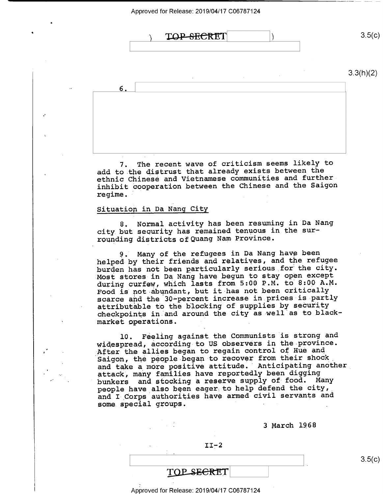

7. The recent wave of criticism seems likely to add to the distrust that already exists between the ethnic Chinese and Vietnamese communities and further inhibit cooperation between the Chinese and the Saigon regime.

#### Situation in Da Nang City

8. Normal activity has been resuming in Da Nang city but security has remained tenuous in the surrounding districts of Quang Nam Province.

9. Many of the refugees in Da Nang have been helped by their friends and relatives, and the refugee burden has not been particularly serious\_for the city. Most stores in Da Nang have begun to stay open except during curfew, which lasts from 5:00 P.M. to 8:00 A.M. Food is not-abundant, but it-has not been critically scarce and the 30-percent increase in prices is partly attributable to the blocking of supplies by security checkpoints in and around the city as well as to blackmarket operations.

10. Feeling against the Communists is strong and widespread, according to US observers in the province. After the allies began to regain control of Hue and Saigon, the people began to recover from their shock and take a more positive attitude. Anticipating another attack, many families have reportedly been digging bunkers and stocking a reserve supply of-food. Many people have also been eager to help defend the city, and I Corps authorities have armed civil servants and some special groups.

3 March 1968

 $3.5(c)$ 

 $II-2$ 

\ \.

Approved for Release: 2019/04/17 C06787124

TOP SECRET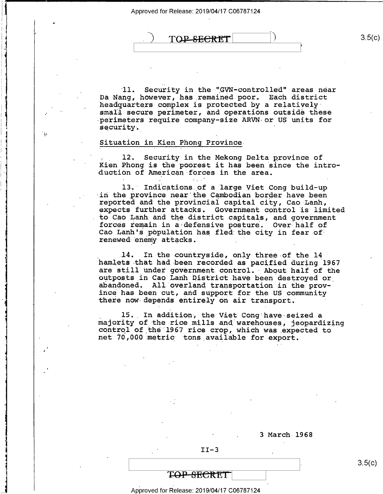TOP SECRET

'll. Security in the "GVN-controlled" areas near Da-Nang, however, has remained poor. Each district headquarters complex is protected by a relativelysmall secure perimeter, and operations outside these perimeters require company-size ARVN-or US units for security.

#### Situation in Kien Phong Province\_

 $\cdot$   $\cdot$ 

 $\overline{\phantom{a}}$ 

۰,

—n\_

1!-I-J

h 1'

1'

If

-I

. \_ 12: Security in the Mekong Delta province of Kien Phong is the poorest it has been since the intro- duction of American forces in the area.

13. Indications of a large Viet Cong build-up<br>in the province near the Cambodian border have been reported and the provincial capital city, Cao Lanh, expects further attacks. Government control is limited<br>to Cao Lanh and the district capitals, and government forces remain in a defensive posture. Over half of Cao Lanh's population has fled the city in fear of renewed enemy attacks. .'

14. In the countryside, only three-of the 14 hamlets that had been recorded as pacified during <sup>1967</sup> are still under government control. About half of the outposts in Cao Lanh District have been destroyed or\_ abandoned. All overland transportation in the prov-<br>ince has been cut, and support for the US community there now depends entirely on air transport.

15. In addition, the Viet Cong have seized a<br>majority of the rice mills and warehouses, jeopardizing<br>control of the 1967 rice crop, which was expected to net 70,000 metric tons available for export.

3 March 1968

 $3.5(c)$ 

 $II-3$ 

### T<del>OP SECRET</del>

Approved for Release: 2019/04/17 C06787124

 $3.5(c)$ 

J.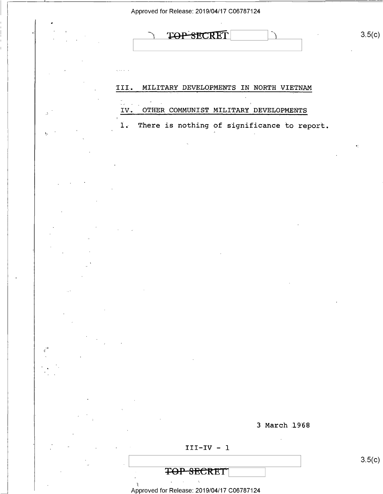| Approved for Release: 2019/04/17 C06787124                                                                             |                                                                                                                                                                                                                                                                                                                                                                                                                                                                                                                                                                                                                             |  |
|------------------------------------------------------------------------------------------------------------------------|-----------------------------------------------------------------------------------------------------------------------------------------------------------------------------------------------------------------------------------------------------------------------------------------------------------------------------------------------------------------------------------------------------------------------------------------------------------------------------------------------------------------------------------------------------------------------------------------------------------------------------|--|
|                                                                                                                        | 3.5(c)<br><b>RECRET</b>                                                                                                                                                                                                                                                                                                                                                                                                                                                                                                                                                                                                     |  |
|                                                                                                                        |                                                                                                                                                                                                                                                                                                                                                                                                                                                                                                                                                                                                                             |  |
|                                                                                                                        | III.<br>MILITARY DEVELOPMENTS IN NORTH VIETNAM<br>ùй.<br>$\sim$                                                                                                                                                                                                                                                                                                                                                                                                                                                                                                                                                             |  |
| A.                                                                                                                     | OTHER COMMUNIST MILITARY DEVELOPMENTS<br>IV.<br>There is nothing of significance to report.<br>1.7                                                                                                                                                                                                                                                                                                                                                                                                                                                                                                                          |  |
| γ.                                                                                                                     | и.                                                                                                                                                                                                                                                                                                                                                                                                                                                                                                                                                                                                                          |  |
|                                                                                                                        |                                                                                                                                                                                                                                                                                                                                                                                                                                                                                                                                                                                                                             |  |
|                                                                                                                        |                                                                                                                                                                                                                                                                                                                                                                                                                                                                                                                                                                                                                             |  |
|                                                                                                                        |                                                                                                                                                                                                                                                                                                                                                                                                                                                                                                                                                                                                                             |  |
|                                                                                                                        |                                                                                                                                                                                                                                                                                                                                                                                                                                                                                                                                                                                                                             |  |
| $\sim$                                                                                                                 |                                                                                                                                                                                                                                                                                                                                                                                                                                                                                                                                                                                                                             |  |
| $\sim 10^{-10}$ km s $^{-1}$                                                                                           | $\mathcal{L}(\mathcal{L}(\mathcal{L}(\mathcal{L}(\mathcal{L}(\mathcal{L}(\mathcal{L}(\mathcal{L}(\mathcal{L}(\mathcal{L}(\mathcal{L}(\mathcal{L}(\mathcal{L}(\mathcal{L}(\mathcal{L}(\mathcal{L}(\mathcal{L}(\mathcal{L}(\mathcal{L}(\mathcal{L}(\mathcal{L}(\mathcal{L}(\mathcal{L}(\mathcal{L}(\mathcal{L}(\mathcal{L}(\mathcal{L}(\mathcal{L}(\mathcal{L}(\mathcal{L}(\mathcal{L}(\mathcal{L}(\mathcal{L}(\mathcal{L}(\mathcal{L}(\mathcal{L}(\mathcal{$<br>$\mathcal{L}(\mathcal{L}(\mathcal{L}))$ and $\mathcal{L}(\mathcal{L}(\mathcal{L}))$ . The contribution of $\mathcal{L}(\mathcal{L})$<br>and the state of the |  |
| $\mathcal{L}_{\text{max}}$ and $\mathcal{L}_{\text{max}}$<br>$\mathcal{L}(\mathcal{A})$ and $\mathcal{L}(\mathcal{A})$ |                                                                                                                                                                                                                                                                                                                                                                                                                                                                                                                                                                                                                             |  |

Ē,  $\frac{1}{1}$ 

Ē,

 $\epsilon^2$ 

3 March 1968

III—IV - 1

TOP SECRET

- ). 4 Approved for Release: 2019/04/17 C06787124

 $3.5(c)$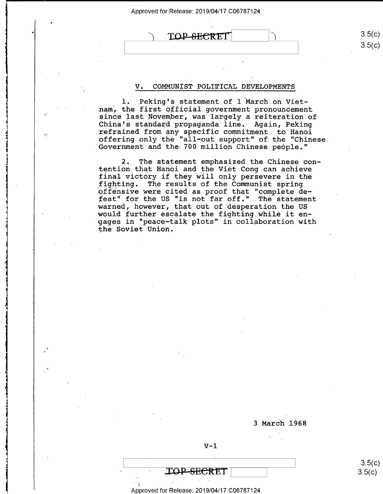TOP SECRET

 $\mathbf{L}$ 

 $3.5(c)$  $3.5(c)$ 

#### COMMUNIST POLITICAL DEVELOPMENTS  $V_{\bullet}$

1. Peking's statement of 1 March on Vietnam, the first official government pronouncement since last November, was largely a reiteration of China's standard propaganda line. Again, Peking refrained from any specific commitment to Hanoi offering only the "all-out support" of the "Chinese Government and the 700 million Chinese people."

 $2.$ The statement emphasized the Chinese contention that Hanoi and the Viet Cong can achieve final victory if they will only persevere in the fighting. The results of the Communist spring offensive were cited as proof that "complete de-<br>feat" for the US "is not far off." The statement warned, however, that out of desperation the US would further escalate the fighting while it engages in "peace-talk plots" in collaboration with the Soviet Union.

3 March 1968

 $V-1$ 

 $3.5(c)$  $3.5(c)$ 

Approved for Release: 2019/04/17 C06787124

TOP-SECRET